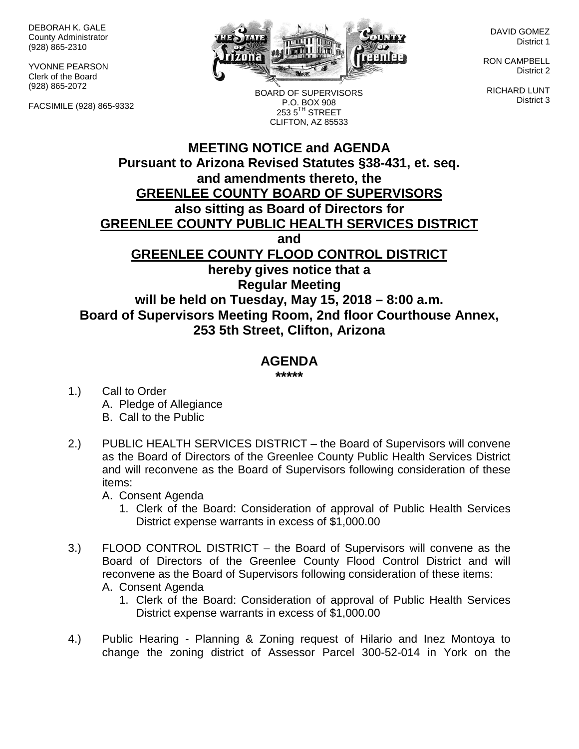DEBORAH K. GALE County Administrator (928) 865-2310

YVONNE PEARSON Clerk of the Board (928) 865-2072

FACSIMILE (928) 865-9332



BOARD OF SUPERVISORS P.O. BOX 908  $2535^{\text{TH}}$  STREET CLIFTON, AZ 85533

DAVID GOMEZ District 1

RON CAMPBELL District 2

RICHARD LUNT District 3

## **MEETING NOTICE and AGENDA Pursuant to Arizona Revised Statutes §38-431, et. seq. and amendments thereto, the GREENLEE COUNTY BOARD OF SUPERVISORS also sitting as Board of Directors for GREENLEE COUNTY PUBLIC HEALTH SERVICES DISTRICT and GREENLEE COUNTY FLOOD CONTROL DISTRICT hereby gives notice that a Regular Meeting will be held on Tuesday, May 15, 2018 – 8:00 a.m. Board of Supervisors Meeting Room, 2nd floor Courthouse Annex, 253 5th Street, Clifton, Arizona**

## **AGENDA**

**\*\*\*\*\***

- 1.) Call to Order A. Pledge of Allegiance B. Call to the Public
- 2.) PUBLIC HEALTH SERVICES DISTRICT the Board of Supervisors will convene as the Board of Directors of the Greenlee County Public Health Services District and will reconvene as the Board of Supervisors following consideration of these items:

A. Consent Agenda

- 1. Clerk of the Board: Consideration of approval of Public Health Services District expense warrants in excess of \$1,000.00
- 3.) FLOOD CONTROL DISTRICT the Board of Supervisors will convene as the Board of Directors of the Greenlee County Flood Control District and will reconvene as the Board of Supervisors following consideration of these items: A. Consent Agenda
	- 1. Clerk of the Board: Consideration of approval of Public Health Services District expense warrants in excess of \$1,000.00
- 4.) Public Hearing Planning & Zoning request of Hilario and Inez Montoya to change the zoning district of Assessor Parcel 300-52-014 in York on the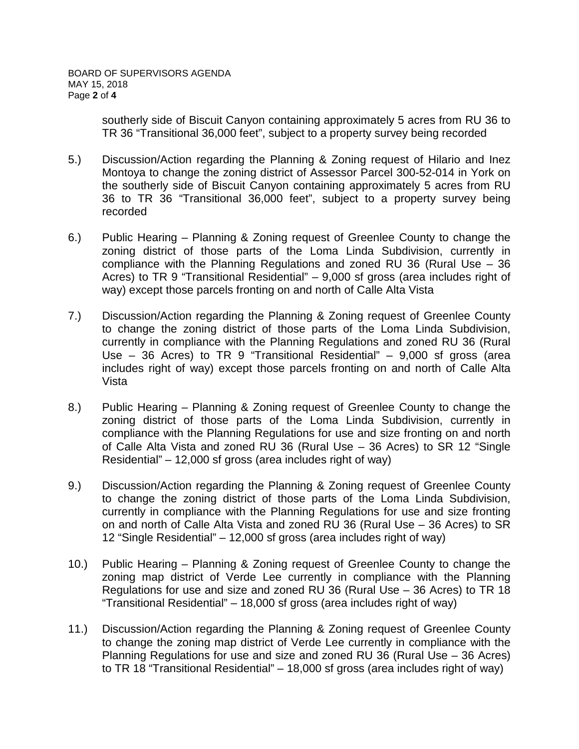southerly side of Biscuit Canyon containing approximately 5 acres from RU 36 to TR 36 "Transitional 36,000 feet", subject to a property survey being recorded

- 5.) Discussion/Action regarding the Planning & Zoning request of Hilario and Inez Montoya to change the zoning district of Assessor Parcel 300-52-014 in York on the southerly side of Biscuit Canyon containing approximately 5 acres from RU 36 to TR 36 "Transitional 36,000 feet", subject to a property survey being recorded
- 6.) Public Hearing Planning & Zoning request of Greenlee County to change the zoning district of those parts of the Loma Linda Subdivision, currently in compliance with the Planning Regulations and zoned RU 36 (Rural Use – 36 Acres) to TR 9 "Transitional Residential" – 9,000 sf gross (area includes right of way) except those parcels fronting on and north of Calle Alta Vista
- 7.) Discussion/Action regarding the Planning & Zoning request of Greenlee County to change the zoning district of those parts of the Loma Linda Subdivision, currently in compliance with the Planning Regulations and zoned RU 36 (Rural Use – 36 Acres) to TR 9 "Transitional Residential" – 9,000 sf gross (area includes right of way) except those parcels fronting on and north of Calle Alta Vista
- 8.) Public Hearing Planning & Zoning request of Greenlee County to change the zoning district of those parts of the Loma Linda Subdivision, currently in compliance with the Planning Regulations for use and size fronting on and north of Calle Alta Vista and zoned RU 36 (Rural Use – 36 Acres) to SR 12 "Single Residential" – 12,000 sf gross (area includes right of way)
- 9.) Discussion/Action regarding the Planning & Zoning request of Greenlee County to change the zoning district of those parts of the Loma Linda Subdivision, currently in compliance with the Planning Regulations for use and size fronting on and north of Calle Alta Vista and zoned RU 36 (Rural Use – 36 Acres) to SR 12 "Single Residential" – 12,000 sf gross (area includes right of way)
- 10.) Public Hearing Planning & Zoning request of Greenlee County to change the zoning map district of Verde Lee currently in compliance with the Planning Regulations for use and size and zoned RU 36 (Rural Use – 36 Acres) to TR 18 "Transitional Residential" – 18,000 sf gross (area includes right of way)
- 11.) Discussion/Action regarding the Planning & Zoning request of Greenlee County to change the zoning map district of Verde Lee currently in compliance with the Planning Regulations for use and size and zoned RU 36 (Rural Use – 36 Acres) to TR 18 "Transitional Residential" – 18,000 sf gross (area includes right of way)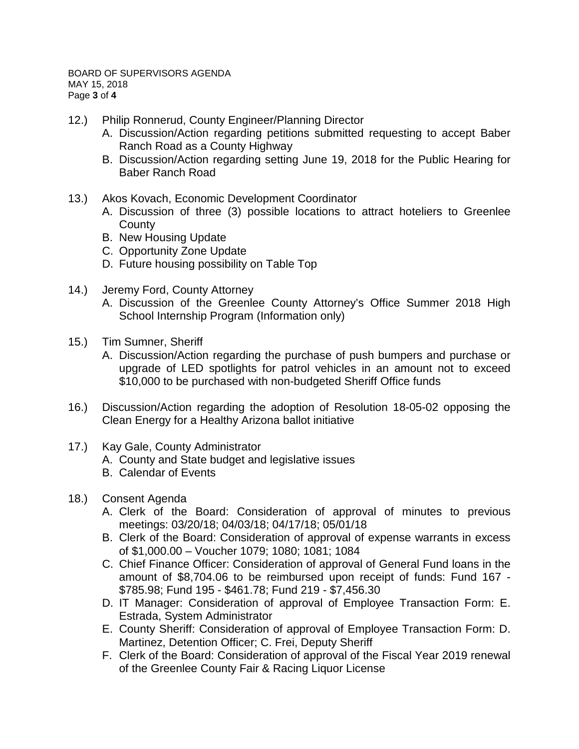- 12.) Philip Ronnerud, County Engineer/Planning Director
	- A. Discussion/Action regarding petitions submitted requesting to accept Baber Ranch Road as a County Highway
	- B. Discussion/Action regarding setting June 19, 2018 for the Public Hearing for Baber Ranch Road
- 13.) Akos Kovach, Economic Development Coordinator
	- A. Discussion of three (3) possible locations to attract hoteliers to Greenlee **County**
	- B. New Housing Update
	- C. Opportunity Zone Update
	- D. Future housing possibility on Table Top
- 14.) Jeremy Ford, County Attorney
	- A. Discussion of the Greenlee County Attorney's Office Summer 2018 High School Internship Program (Information only)
- 15.) Tim Sumner, Sheriff
	- A. Discussion/Action regarding the purchase of push bumpers and purchase or upgrade of LED spotlights for patrol vehicles in an amount not to exceed \$10,000 to be purchased with non-budgeted Sheriff Office funds
- 16.) Discussion/Action regarding the adoption of Resolution 18-05-02 opposing the Clean Energy for a Healthy Arizona ballot initiative
- 17.) Kay Gale, County Administrator
	- A. County and State budget and legislative issues
	- B. Calendar of Events
- 18.) Consent Agenda
	- A. Clerk of the Board: Consideration of approval of minutes to previous meetings: 03/20/18; 04/03/18; 04/17/18; 05/01/18
	- B. Clerk of the Board: Consideration of approval of expense warrants in excess of \$1,000.00 – Voucher 1079; 1080; 1081; 1084
	- C. Chief Finance Officer: Consideration of approval of General Fund loans in the amount of \$8,704.06 to be reimbursed upon receipt of funds: Fund 167 - \$785.98; Fund 195 - \$461.78; Fund 219 - \$7,456.30
	- D. IT Manager: Consideration of approval of Employee Transaction Form: E. Estrada, System Administrator
	- E. County Sheriff: Consideration of approval of Employee Transaction Form: D. Martinez, Detention Officer; C. Frei, Deputy Sheriff
	- F. Clerk of the Board: Consideration of approval of the Fiscal Year 2019 renewal of the Greenlee County Fair & Racing Liquor License